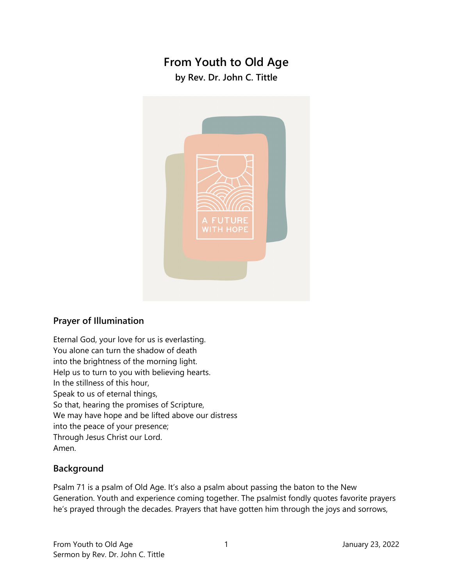# **From Youth to Old Age**

**by Rev. Dr. John C. Tittle** 



## **Prayer of Illumination**

Eternal God, your love for us is everlasting. You alone can turn the shadow of death into the brightness of the morning light. Help us to turn to you with believing hearts. In the stillness of this hour, Speak to us of eternal things, So that, hearing the promises of Scripture, We may have hope and be lifted above our distress into the peace of your presence; Through Jesus Christ our Lord. Amen.

### **Background**

Psalm 71 is a psalm of Old Age. It's also a psalm about passing the baton to the New Generation. Youth and experience coming together. The psalmist fondly quotes favorite prayers he's prayed through the decades. Prayers that have gotten him through the joys and sorrows,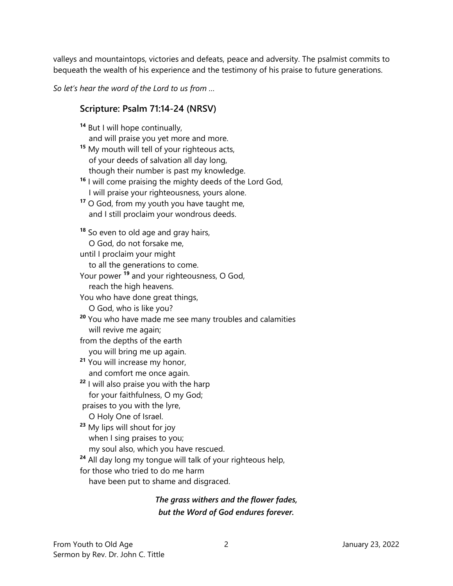valleys and mountaintops, victories and defeats, peace and adversity. The psalmist commits to bequeath the wealth of his experience and the testimony of his praise to future generations.

*So let's hear the word of the Lord to us from …* 

#### **Scripture: Psalm 71:14-24 (NRSV)**

**<sup>14</sup>** But I will hope continually,

and will praise you yet more and more.

**<sup>15</sup>** My mouth will tell of your righteous acts, of your deeds of salvation all day long, though their number is past my knowledge.

**<sup>16</sup>** I will come praising the mighty deeds of the Lord God, I will praise your righteousness, yours alone.

**<sup>17</sup>** O God, from my youth you have taught me, and I still proclaim your wondrous deeds.

**<sup>18</sup>** So even to old age and gray hairs,

O God, do not forsake me,

until I proclaim your might

to all the generations to come.

Your power **<sup>19</sup>** and your righteousness, O God,

reach the high heavens.

You who have done great things,

O God, who is like you?

**<sup>20</sup>** You who have made me see many troubles and calamities will revive me again;

from the depths of the earth

 you will bring me up again. **<sup>21</sup>** You will increase my honor, and comfort me once again.

**<sup>22</sup>** I will also praise you with the harp

for your faithfulness, O my God;

praises to you with the lyre,

O Holy One of Israel.

**<sup>23</sup>** My lips will shout for joy when I sing praises to you;

my soul also, which you have rescued.

**<sup>24</sup>** All day long my tongue will talk of your righteous help,

for those who tried to do me harm

have been put to shame and disgraced.

*The grass withers and the flower fades, but the Word of God endures forever.*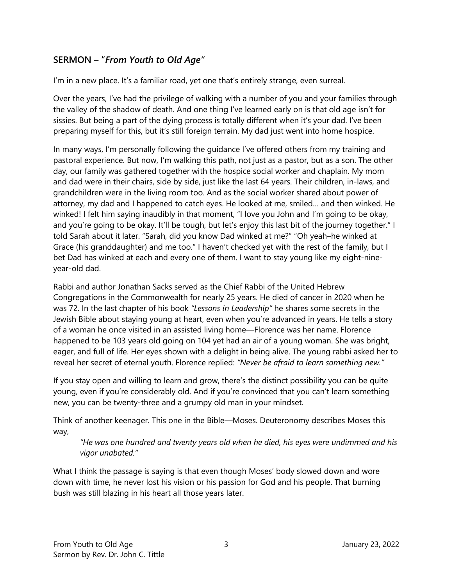## **SERMON – "***From Youth to Old Age"*

I'm in a new place. It's a familiar road, yet one that's entirely strange, even surreal.

Over the years, I've had the privilege of walking with a number of you and your families through the valley of the shadow of death. And one thing I've learned early on is that old age isn't for sissies. But being a part of the dying process is totally different when it's your dad. I've been preparing myself for this, but it's still foreign terrain. My dad just went into home hospice.

In many ways, I'm personally following the guidance I've offered others from my training and pastoral experience. But now, I'm walking this path, not just as a pastor, but as a son. The other day, our family was gathered together with the hospice social worker and chaplain. My mom and dad were in their chairs, side by side, just like the last 64 years. Their children, in-laws, and grandchildren were in the living room too. And as the social worker shared about power of attorney, my dad and I happened to catch eyes. He looked at me, smiled… and then winked. He winked! I felt him saying inaudibly in that moment, "I love you John and I'm going to be okay, and you're going to be okay. It'll be tough, but let's enjoy this last bit of the journey together." I told Sarah about it later. "Sarah, did you know Dad winked at me?" "Oh yeah–he winked at Grace (his granddaughter) and me too." I haven't checked yet with the rest of the family, but I bet Dad has winked at each and every one of them. I want to stay young like my eight-nineyear-old dad.

Rabbi and author Jonathan Sacks served as the Chief Rabbi of the United Hebrew Congregations in the Commonwealth for nearly 25 years. He died of cancer in 2020 when he was 72. In the last chapter of his book *"Lessons in Leadership"* he shares some secrets in the Jewish Bible about staying young at heart, even when you're advanced in years. He tells a story of a woman he once visited in an assisted living home—Florence was her name. Florence happened to be 103 years old going on 104 yet had an air of a young woman. She was bright, eager, and full of life. Her eyes shown with a delight in being alive. The young rabbi asked her to reveal her secret of eternal youth. Florence replied: *"Never be afraid to learn something new."*

If you stay open and willing to learn and grow, there's the distinct possibility you can be quite young, even if you're considerably old. And if you're convinced that you can't learn something new, you can be twenty-three and a grumpy old man in your mindset.

Think of another keenager. This one in the Bible—Moses. Deuteronomy describes Moses this way,

*"He was one hundred and twenty years old when he died, his eyes were undimmed and his vigor unabated."* 

What I think the passage is saying is that even though Moses' body slowed down and wore down with time, he never lost his vision or his passion for God and his people. That burning bush was still blazing in his heart all those years later.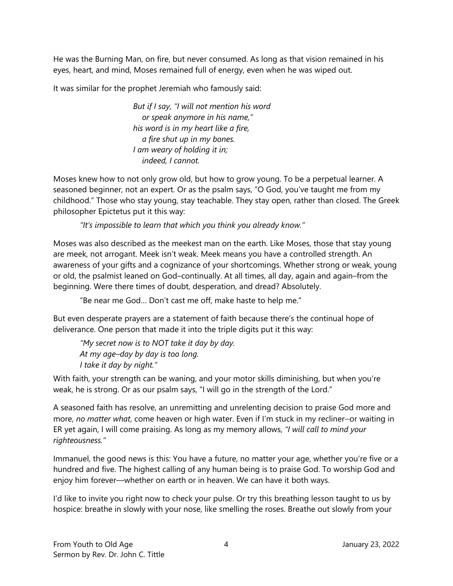He was the Burning Man, on fire, but never consumed. As long as that vision remained in his eyes, heart, and mind, Moses remained full of energy, even when he was wiped out.

It was similar for the prophet Jeremiah who famously said:

*But if I say, "I will not mention his word or speak anymore in his name," his word is in my heart like a fire, a fire shut up in my bones. I am weary of holding it in; indeed, I cannot.* 

Moses knew how to not only grow old, but how to grow young. To be a perpetual learner. A seasoned beginner, not an expert. Or as the psalm says, "O God, you've taught me from my childhood." Those who stay young, stay teachable. They stay open, rather than closed. The Greek philosopher Epictetus put it this way:

*"It's impossible to learn that which you think you already know."* 

Moses was also described as the meekest man on the earth. Like Moses, those that stay young are meek, not arrogant. Meek isn't weak. Meek means you have a controlled strength. An awareness of your gifts and a cognizance of your shortcomings. Whether strong or weak, young or old, the psalmist leaned on God–continually. At all times, all day, again and again–from the beginning. Were there times of doubt, desperation, and dread? Absolutely.

"Be near me God… Don't cast me off, make haste to help me."

But even desperate prayers are a statement of faith because there's the continual hope of deliverance. One person that made it into the triple digits put it this way:

*"My secret now is to NOT take it day by day. At my age–day by day is too long. I take it day by night."* 

With faith, your strength can be waning, and your motor skills diminishing, but when you're weak, he is strong. Or as our psalm says, "I will go in the strength of the Lord."

A seasoned faith has resolve, an unremitting and unrelenting decision to praise God more and more, no matter what, come heaven or high water. Even if I'm stuck in my recliner-or waiting in ER yet again, I will come praising. As long as my memory allows, *"I will call to mind your righteousness."*

Immanuel, the good news is this: You have a future, no matter your age, whether you're five or a hundred and five. The highest calling of any human being is to praise God. To worship God and enjoy him forever—whether on earth or in heaven. We can have it both ways.

I'd like to invite you right now to check your pulse. Or try this breathing lesson taught to us by hospice: breathe in slowly with your nose, like smelling the roses. Breathe out slowly from your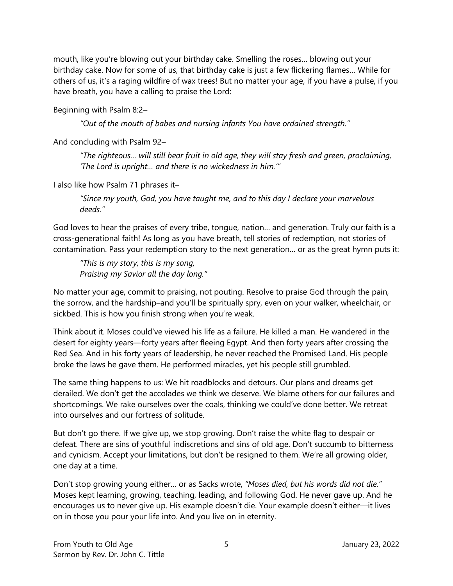mouth, like you're blowing out your birthday cake. Smelling the roses… blowing out your birthday cake. Now for some of us, that birthday cake is just a few flickering flames… While for others of us, it's a raging wildfire of wax trees! But no matter your age, if you have a pulse, if you have breath, you have a calling to praise the Lord:

Beginning with Psalm 8:2

*"Out of the mouth of babes and nursing infants You have ordained strength."* 

And concluding with Psalm 92

*"The righteous… will still bear fruit in old age, they will stay fresh and green, proclaiming, 'The Lord is upright… and there is no wickedness in him.'"* 

I also like how Psalm 71 phrases it

*"Since my youth, God, you have taught me, and to this day I declare your marvelous deeds."* 

God loves to hear the praises of every tribe, tongue, nation… and generation. Truly our faith is a cross-generational faith! As long as you have breath, tell stories of redemption, not stories of contamination. Pass your redemption story to the next generation… or as the great hymn puts it:

*"This is my story, this is my song, Praising my Savior all the day long."* 

No matter your age, commit to praising, not pouting. Resolve to praise God through the pain, the sorrow, and the hardship–and you'll be spiritually spry, even on your walker, wheelchair, or sickbed. This is how you finish strong when you're weak.

Think about it. Moses could've viewed his life as a failure. He killed a man. He wandered in the desert for eighty years—forty years after fleeing Egypt. And then forty years after crossing the Red Sea. And in his forty years of leadership, he never reached the Promised Land. His people broke the laws he gave them. He performed miracles, yet his people still grumbled.

The same thing happens to us: We hit roadblocks and detours. Our plans and dreams get derailed. We don't get the accolades we think we deserve. We blame others for our failures and shortcomings. We rake ourselves over the coals, thinking we could've done better. We retreat into ourselves and our fortress of solitude.

But don't go there. If we give up, we stop growing. Don't raise the white flag to despair or defeat. There are sins of youthful indiscretions and sins of old age. Don't succumb to bitterness and cynicism. Accept your limitations, but don't be resigned to them. We're all growing older, one day at a time.

Don't stop growing young either… or as Sacks wrote, *"Moses died, but his words did not die."* Moses kept learning, growing, teaching, leading, and following God. He never gave up. And he encourages us to never give up. His example doesn't die. Your example doesn't either—it lives on in those you pour your life into. And you live on in eternity.